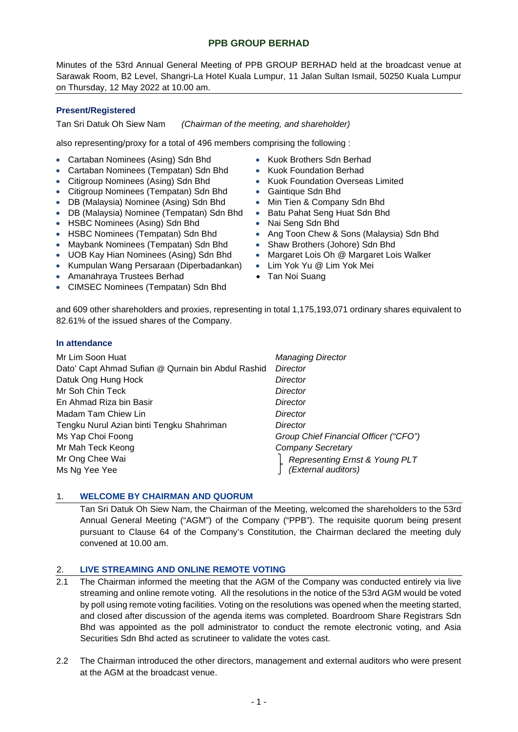# **PPB GROUP BERHAD**

Minutes of the 53rd Annual General Meeting of PPB GROUP BERHAD held at the broadcast venue at Sarawak Room, B2 Level, Shangri-La Hotel Kuala Lumpur, 11 Jalan Sultan Ismail, 50250 Kuala Lumpur on Thursday, 12 May 2022 at 10.00 am.

# **Present/Registered**

Tan Sri Datuk Oh Siew Nam *(Chairman of the meeting, and shareholder)*

also representing/proxy for a total of 496 members comprising the following :

- Cartaban Nominees (Asing) Sdn Bhd Kuok Brothers Sdn Berhad
- Cartaban Nominees (Tempatan) Sdn Bhd
- Citigroup Nominees (Asing) Sdn Bhd
- Citigroup Nominees (Tempatan) Sdn Bhd Gaintique Sdn Bhd
- DB (Malaysia) Nominee (Asing) Sdn Bhd Min Tien & Company Sdn Bhd
- DB (Malaysia) Nominee (Tempatan) Sdn Bhd Batu Pahat Seng Huat Sdn Bhd
- HSBC Nominees (Asing) Sdn Bhd Nai Seng Sdn Bhd
- 
- Maybank Nominees (Tempatan) Sdn Bhd
- UOB Kay Hian Nominees (Asing) Sdn Bhd
- Kumpulan Wang Persaraan (Diperbadankan)
- Amanahraya Trustees Berhad
- CIMSEC Nominees (Tempatan) Sdn Bhd
- 
- Kuok Foundation Berhad
- Kuok Foundation Overseas Limited
- 
- 
- 
- 
- HSBC Nominees (Tempatan) Sdn Bhd Ang Toon Chew & Sons (Malaysia) Sdn Bhd<br>• Maybank Nominees (Tempatan) Sdn Bhd Shaw Brothers (Johore) Sdn Bhd
	-
	- Margaret Lois Oh @ Margaret Lois Walker
	- Lim Yok Yu @ Lim Yok Mei
	- Tan Noi Suang

and 609 other shareholders and proxies, representing in total 1,175,193,071 ordinary shares equivalent to 82.61% of the issued shares of the Company.

# **In attendance**

| Mr Lim Soon Huat                                   | <b>Managing Director</b>                              |
|----------------------------------------------------|-------------------------------------------------------|
| Dato' Capt Ahmad Sufian @ Qurnain bin Abdul Rashid | Director                                              |
| Datuk Ong Hung Hock                                | Director                                              |
| Mr Soh Chin Teck                                   | Director                                              |
| En Ahmad Riza bin Basir                            | Director                                              |
| Madam Tam Chiew Lin                                | Director                                              |
| Tengku Nurul Azian binti Tengku Shahriman          | Director                                              |
| Ms Yap Choi Foong                                  | Group Chief Financial Officer ("CFO")                 |
| Mr Mah Teck Keong                                  | <b>Company Secretary</b>                              |
| Mr Ong Chee Wai                                    | Representing Ernst & Young PLT<br>(External auditors) |
| Ms Ng Yee Yee                                      |                                                       |

# 1. **WELCOME BY CHAIRMAN AND QUORUM**

Tan Sri Datuk Oh Siew Nam, the Chairman of the Meeting, welcomed the shareholders to the 53rd Annual General Meeting ("AGM") of the Company ("PPB"). The requisite quorum being present pursuant to Clause 64 of the Company's Constitution, the Chairman declared the meeting duly convened at 10.00 am.

# 2. **LIVE STREAMING AND ONLINE REMOTE VOTING**

- 2.1 The Chairman informed the meeting that the AGM of the Company was conducted entirely via live streaming and online remote voting. All the resolutions in the notice of the 53rd AGM would be voted by poll using remote voting facilities. Voting on the resolutions was opened when the meeting started, and closed after discussion of the agenda items was completed. Boardroom Share Registrars Sdn Bhd was appointed as the poll administrator to conduct the remote electronic voting, and Asia Securities Sdn Bhd acted as scrutineer to validate the votes cast.
- 2.2 The Chairman introduced the other directors, management and external auditors who were present at the AGM at the broadcast venue.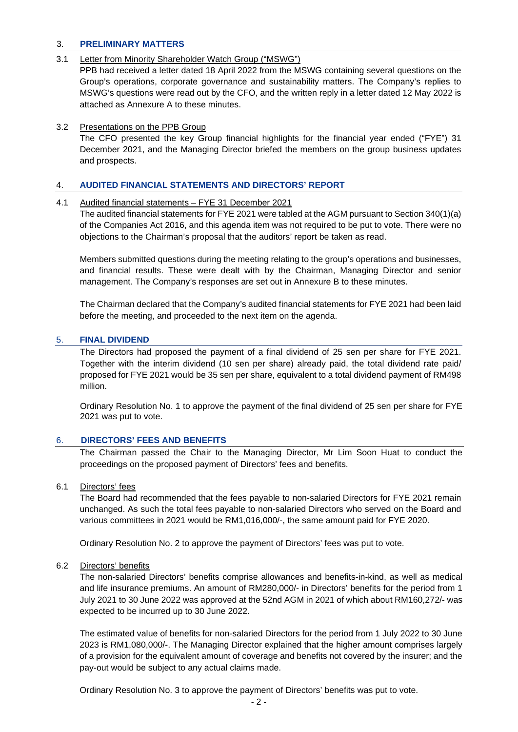# 3. **PRELIMINARY MATTERS**

# 3.1 Letter from Minority Shareholder Watch Group ("MSWG")

PPB had received a letter dated 18 April 2022 from the MSWG containing several questions on the Group's operations, corporate governance and sustainability matters. The Company's replies to MSWG's questions were read out by the CFO, and the written reply in a letter dated 12 May 2022 is attached as Annexure A to these minutes.

# 3.2 Presentations on the PPB Group

The CFO presented the key Group financial highlights for the financial year ended ("FYE") 31 December 2021, and the Managing Director briefed the members on the group business updates and prospects.

# 4. **AUDITED FINANCIAL STATEMENTS AND DIRECTORS' REPORT**

# 4.1 Audited financial statements – FYE 31 December 2021

The audited financial statements for FYE 2021 were tabled at the AGM pursuant to Section 340(1)(a) of the Companies Act 2016, and this agenda item was not required to be put to vote. There were no objections to the Chairman's proposal that the auditors' report be taken as read.

Members submitted questions during the meeting relating to the group's operations and businesses, and financial results. These were dealt with by the Chairman, Managing Director and senior management. The Company's responses are set out in Annexure B to these minutes.

The Chairman declared that the Company's audited financial statements for FYE 2021 had been laid before the meeting, and proceeded to the next item on the agenda.

# 5. **FINAL DIVIDEND**

The Directors had proposed the payment of a final dividend of 25 sen per share for FYE 2021. Together with the interim dividend (10 sen per share) already paid, the total dividend rate paid/ proposed for FYE 2021 would be 35 sen per share, equivalent to a total dividend payment of RM498 million.

Ordinary Resolution No. 1 to approve the payment of the final dividend of 25 sen per share for FYE 2021 was put to vote.

# 6. **DIRECTORS' FEES AND BENEFITS**

The Chairman passed the Chair to the Managing Director, Mr Lim Soon Huat to conduct the proceedings on the proposed payment of Directors' fees and benefits.

# 6.1 Directors' fees

The Board had recommended that the fees payable to non-salaried Directors for FYE 2021 remain unchanged. As such the total fees payable to non-salaried Directors who served on the Board and various committees in 2021 would be RM1,016,000/-, the same amount paid for FYE 2020.

Ordinary Resolution No. 2 to approve the payment of Directors' fees was put to vote.

# 6.2 Directors' benefits

The non-salaried Directors' benefits comprise allowances and benefits-in-kind, as well as medical and life insurance premiums. An amount of RM280,000/- in Directors' benefits for the period from 1 July 2021 to 30 June 2022 was approved at the 52nd AGM in 2021 of which about RM160,272/- was expected to be incurred up to 30 June 2022.

The estimated value of benefits for non-salaried Directors for the period from 1 July 2022 to 30 June 2023 is RM1,080,000/-. The Managing Director explained that the higher amount comprises largely of a provision for the equivalent amount of coverage and benefits not covered by the insurer; and the pay-out would be subject to any actual claims made.

Ordinary Resolution No. 3 to approve the payment of Directors' benefits was put to vote.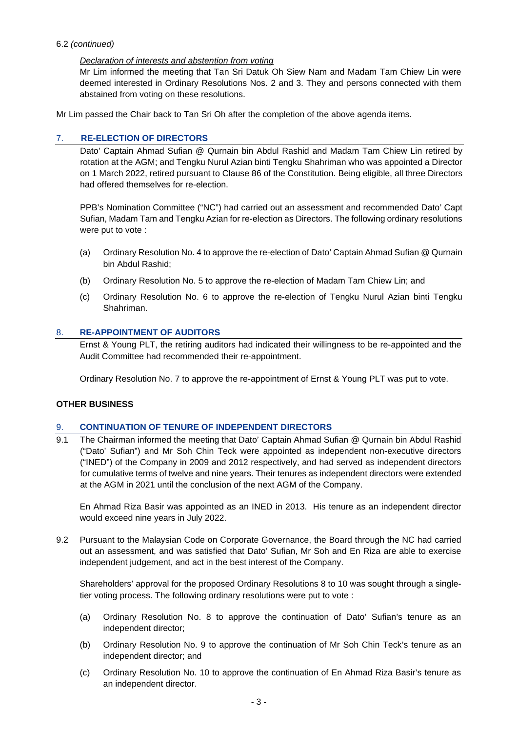# 6.2 *(continued)*

# *Declaration of interests and abstention from voting*

Mr Lim informed the meeting that Tan Sri Datuk Oh Siew Nam and Madam Tam Chiew Lin were deemed interested in Ordinary Resolutions Nos. 2 and 3. They and persons connected with them abstained from voting on these resolutions.

Mr Lim passed the Chair back to Tan Sri Oh after the completion of the above agenda items.

# 7. **RE-ELECTION OF DIRECTORS**

Dato' Captain Ahmad Sufian @ Qurnain bin Abdul Rashid and Madam Tam Chiew Lin retired by rotation at the AGM; and Tengku Nurul Azian binti Tengku Shahriman who was appointed a Director on 1 March 2022, retired pursuant to Clause 86 of the Constitution. Being eligible, all three Directors had offered themselves for re-election.

PPB's Nomination Committee ("NC") had carried out an assessment and recommended Dato' Capt Sufian, Madam Tam and Tengku Azian for re-election as Directors. The following ordinary resolutions were put to vote :

- (a) Ordinary Resolution No. 4 to approve the re-election of Dato' Captain Ahmad Sufian @ Qurnain bin Abdul Rashid;
- (b) Ordinary Resolution No. 5 to approve the re-election of Madam Tam Chiew Lin; and
- (c) Ordinary Resolution No. 6 to approve the re-election of Tengku Nurul Azian binti Tengku Shahriman.

# 8. **RE-APPOINTMENT OF AUDITORS**

Ernst & Young PLT, the retiring auditors had indicated their willingness to be re-appointed and the Audit Committee had recommended their re-appointment.

Ordinary Resolution No. 7 to approve the re-appointment of Ernst & Young PLT was put to vote.

# **OTHER BUSINESS**

# 9. **CONTINUATION OF TENURE OF INDEPENDENT DIRECTORS**

9.1 The Chairman informed the meeting that Dato' Captain Ahmad Sufian @ Qurnain bin Abdul Rashid ("Dato' Sufian") and Mr Soh Chin Teck were appointed as independent non-executive directors ("INED") of the Company in 2009 and 2012 respectively, and had served as independent directors for cumulative terms of twelve and nine years. Their tenures as independent directors were extended at the AGM in 2021 until the conclusion of the next AGM of the Company.

En Ahmad Riza Basir was appointed as an INED in 2013. His tenure as an independent director would exceed nine years in July 2022.

9.2 Pursuant to the Malaysian Code on Corporate Governance, the Board through the NC had carried out an assessment, and was satisfied that Dato' Sufian, Mr Soh and En Riza are able to exercise independent judgement, and act in the best interest of the Company.

Shareholders' approval for the proposed Ordinary Resolutions 8 to 10 was sought through a singletier voting process. The following ordinary resolutions were put to vote :

- (a) Ordinary Resolution No. 8 to approve the continuation of Dato' Sufian's tenure as an independent director;
- (b) Ordinary Resolution No. 9 to approve the continuation of Mr Soh Chin Teck's tenure as an independent director; and
- (c) Ordinary Resolution No. 10 to approve the continuation of En Ahmad Riza Basir's tenure as an independent director.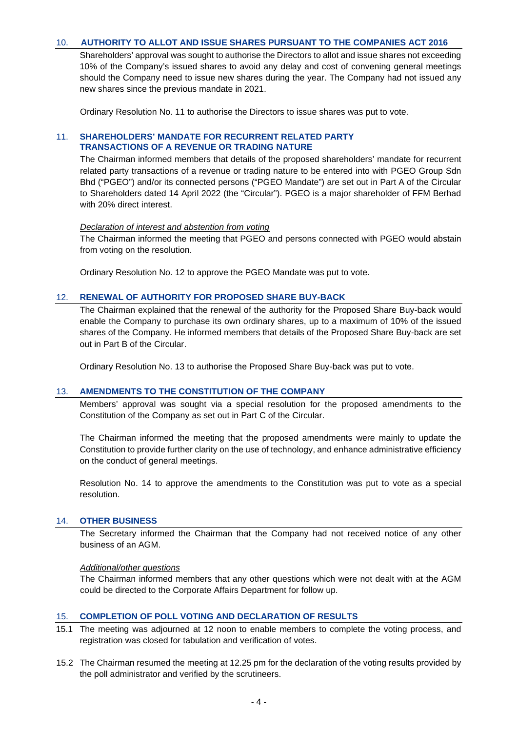# 10. **AUTHORITY TO ALLOT AND ISSUE SHARES PURSUANT TO THE COMPANIES ACT 2016**

Shareholders' approval was sought to authorise the Directors to allot and issue shares not exceeding 10% of the Company's issued shares to avoid any delay and cost of convening general meetings should the Company need to issue new shares during the year. The Company had not issued any new shares since the previous mandate in 2021.

Ordinary Resolution No. 11 to authorise the Directors to issue shares was put to vote.

# 11. **SHAREHOLDERS' MANDATE FOR RECURRENT RELATED PARTY TRANSACTIONS OF A REVENUE OR TRADING NATURE**

The Chairman informed members that details of the proposed shareholders' mandate for recurrent related party transactions of a revenue or trading nature to be entered into with PGEO Group Sdn Bhd ("PGEO") and/or its connected persons ("PGEO Mandate") are set out in Part A of the Circular to Shareholders dated 14 April 2022 (the "Circular"). PGEO is a major shareholder of FFM Berhad with 20% direct interest.

## *Declaration of interest and abstention from voting*

The Chairman informed the meeting that PGEO and persons connected with PGEO would abstain from voting on the resolution.

Ordinary Resolution No. 12 to approve the PGEO Mandate was put to vote.

## 12. **RENEWAL OF AUTHORITY FOR PROPOSED SHARE BUY-BACK**

The Chairman explained that the renewal of the authority for the Proposed Share Buy-back would enable the Company to purchase its own ordinary shares, up to a maximum of 10% of the issued shares of the Company. He informed members that details of the Proposed Share Buy-back are set out in Part B of the Circular.

Ordinary Resolution No. 13 to authorise the Proposed Share Buy-back was put to vote.

## 13. **AMENDMENTS TO THE CONSTITUTION OF THE COMPANY**

Members' approval was sought via a special resolution for the proposed amendments to the Constitution of the Company as set out in Part C of the Circular.

The Chairman informed the meeting that the proposed amendments were mainly to update the Constitution to provide further clarity on the use of technology, and enhance administrative efficiency on the conduct of general meetings.

Resolution No. 14 to approve the amendments to the Constitution was put to vote as a special resolution.

## 14. **OTHER BUSINESS**

The Secretary informed the Chairman that the Company had not received notice of any other business of an AGM.

#### *Additional/other questions*

The Chairman informed members that any other questions which were not dealt with at the AGM could be directed to the Corporate Affairs Department for follow up.

## 15. **COMPLETION OF POLL VOTING AND DECLARATION OF RESULTS**

- 15.1 The meeting was adjourned at 12 noon to enable members to complete the voting process, and registration was closed for tabulation and verification of votes.
- 15.2 The Chairman resumed the meeting at 12.25 pm for the declaration of the voting results provided by the poll administrator and verified by the scrutineers.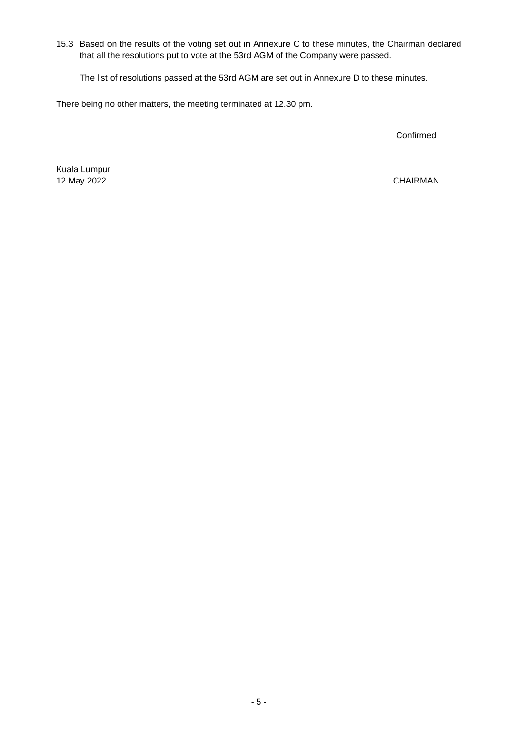15.3 Based on the results of the voting set out in Annexure C to these minutes, the Chairman declared that all the resolutions put to vote at the 53rd AGM of the Company were passed.

The list of resolutions passed at the 53rd AGM are set out in Annexure D to these minutes.

There being no other matters, the meeting terminated at 12.30 pm.

Confirmed

Kuala Lumpur 12 May 2022

CHAIRMAN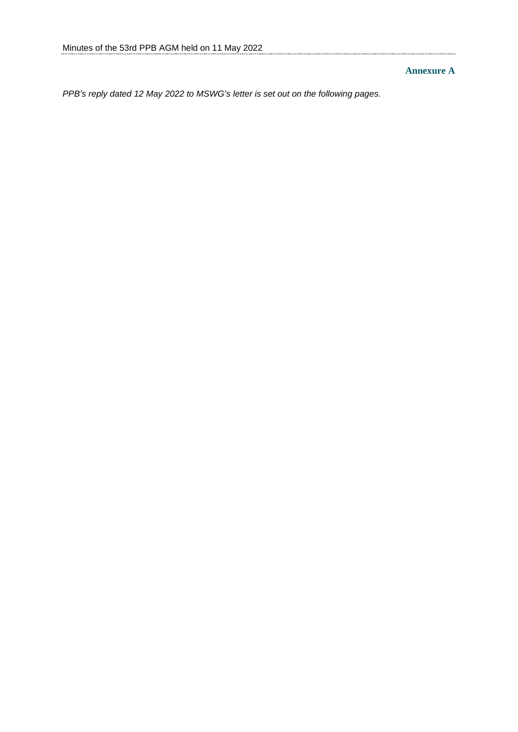# **Annexure A**

*PPB's reply dated 12 May 2022 to MSWG's letter is set out on the following pages.*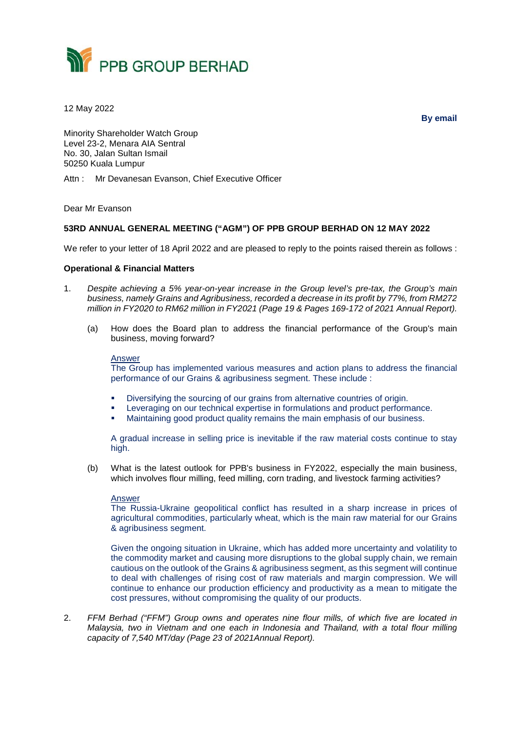

12 May 2022

**By email**

Minority Shareholder Watch Group Level 23-2, Menara AIA Sentral No. 30, Jalan Sultan Ismail 50250 Kuala Lumpur

Attn : Mr Devanesan Evanson, Chief Executive Officer

Dear Mr Evanson

## **53RD ANNUAL GENERAL MEETING ("AGM") OF PPB GROUP BERHAD ON 12 MAY 2022**

We refer to your letter of 18 April 2022 and are pleased to reply to the points raised therein as follows :

## **Operational & Financial Matters**

- 1. *Despite achieving a 5% year-on-year increase in the Group level's pre-tax, the Group's main business, namely Grains and Agribusiness, recorded a decrease in its profit by 77%, from RM272 million in FY2020 to RM62 million in FY2021 (Page 19 & Pages 169-172 of 2021 Annual Report).*
	- (a) How does the Board plan to address the financial performance of the Group's main business, moving forward?

#### Answer

The Group has implemented various measures and action plans to address the financial performance of our Grains & agribusiness segment. These include :

- Diversifying the sourcing of our grains from alternative countries of origin.
- Leveraging on our technical expertise in formulations and product performance.
- Maintaining good product quality remains the main emphasis of our business.

A gradual increase in selling price is inevitable if the raw material costs continue to stay high.

(b) What is the latest outlook for PPB's business in FY2022, especially the main business, which involves flour milling, feed milling, corn trading, and livestock farming activities?

#### Answer

The Russia-Ukraine geopolitical conflict has resulted in a sharp increase in prices of agricultural commodities, particularly wheat, which is the main raw material for our Grains & agribusiness segment.

Given the ongoing situation in Ukraine, which has added more uncertainty and volatility to the commodity market and causing more disruptions to the global supply chain, we remain cautious on the outlook of the Grains & agribusiness segment, as this segment will continue to deal with challenges of rising cost of raw materials and margin compression. We will continue to enhance our production efficiency and productivity as a mean to mitigate the cost pressures, without compromising the quality of our products.

2. *FFM Berhad ("FFM") Group owns and operates nine flour mills, of which five are located in Malaysia, two in Vietnam and one each in Indonesia and Thailand, with a total flour milling capacity of 7,540 MT/day (Page 23 of 2021Annual Report).*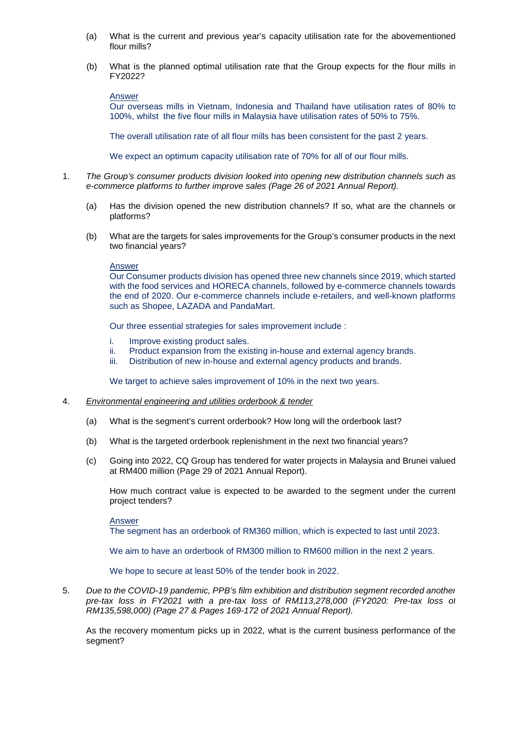- (a) What is the current and previous year's capacity utilisation rate for the abovementioned flour mills?
- (b) What is the planned optimal utilisation rate that the Group expects for the flour mills in FY2022?

Answer

Our overseas mills in Vietnam, Indonesia and Thailand have utilisation rates of 80% to 100%, whilst the five flour mills in Malaysia have utilisation rates of 50% to 75%.

The overall utilisation rate of all flour mills has been consistent for the past 2 years.

We expect an optimum capacity utilisation rate of 70% for all of our flour mills.

- 1. *The Group's consumer products division looked into opening new distribution channels such as e-commerce platforms to further improve sales (Page 26 of 2021 Annual Report).*
	- (a) Has the division opened the new distribution channels? If so, what are the channels or platforms?
	- (b) What are the targets for sales improvements for the Group's consumer products in the next two financial years?

#### Answer

Our Consumer products division has opened three new channels since 2019, which started with the food services and HORECA channels, followed by e-commerce channels towards the end of 2020. Our e-commerce channels include e-retailers, and well-known platforms such as Shopee, LAZADA and PandaMart.

Our three essential strategies for sales improvement include :

- i. Improve existing product sales.
- ii. Product expansion from the existing in-house and external agency brands.
- iii. Distribution of new in-house and external agency products and brands.

We target to achieve sales improvement of 10% in the next two years.

#### 4. *Environmental engineering and utilities orderbook & tender*

- (a) What is the segment's current orderbook? How long will the orderbook last?
- (b) What is the targeted orderbook replenishment in the next two financial years?
- (c) Going into 2022, CQ Group has tendered for water projects in Malaysia and Brunei valued at RM400 million (Page 29 of 2021 Annual Report).

How much contract value is expected to be awarded to the segment under the current project tenders?

Answer

The segment has an orderbook of RM360 million, which is expected to last until 2023.

We aim to have an orderbook of RM300 million to RM600 million in the next 2 years.

We hope to secure at least 50% of the tender book in 2022.

5. *Due to the COVID-19 pandemic, PPB's film exhibition and distribution segment recorded another pre-tax loss in FY2021 with a pre-tax loss of RM113,278,000 (FY2020: Pre-tax loss of RM135,598,000) (Page 27 & Pages 169-172 of 2021 Annual Report).*

As the recovery momentum picks up in 2022, what is the current business performance of the segment?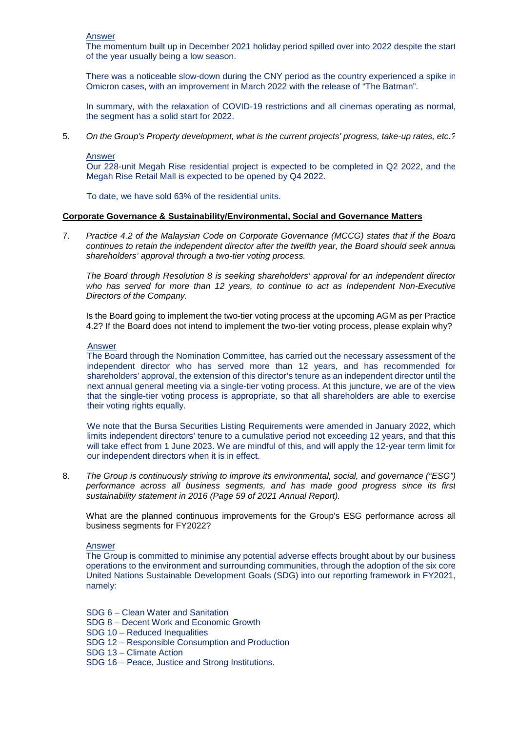Answer

The momentum built up in December 2021 holiday period spilled over into 2022 despite the start of the year usually being a low season.

There was a noticeable slow-down during the CNY period as the country experienced a spike in Omicron cases, with an improvement in March 2022 with the release of "The Batman".

In summary, with the relaxation of COVID-19 restrictions and all cinemas operating as normal, the segment has a solid start for 2022.

5. *On the Group's Property development, what is the current projects' progress, take-up rates, etc.?*

#### Answer

Our 228-unit Megah Rise residential project is expected to be completed in Q2 2022, and the Megah Rise Retail Mall is expected to be opened by Q4 2022.

To date, we have sold 63% of the residential units.

## **Corporate Governance & Sustainability/Environmental, Social and Governance Matters**

7. *Practice 4.2 of the Malaysian Code on Corporate Governance (MCCG) states that if the Board continues to retain the independent director after the twelfth year, the Board should seek annual shareholders' approval through a two-tier voting process.*

*The Board through Resolution 8 is seeking shareholders' approval for an independent director who has served for more than 12 years, to continue to act as Independent Non-Executive Directors of the Company.*

Is the Board going to implement the two-tier voting process at the upcoming AGM as per Practice 4.2? If the Board does not intend to implement the two-tier voting process, please explain why?

## Answer

The Board through the Nomination Committee, has carried out the necessary assessment of the independent director who has served more than 12 years, and has recommended for shareholders' approval, the extension of this director's tenure as an independent director until the next annual general meeting via a single-tier voting process. At this juncture, we are of the view that the single-tier voting process is appropriate, so that all shareholders are able to exercise their voting rights equally.

We note that the Bursa Securities Listing Requirements were amended in January 2022, which limits independent directors' tenure to a cumulative period not exceeding 12 years, and that this will take effect from 1 June 2023. We are mindful of this, and will apply the 12-year term limit for our independent directors when it is in effect.

8. *The Group is continuously striving to improve its environmental, social, and governance ("ESG") performance across all business segments, and has made good progress since its first sustainability statement in 2016 (Page 59 of 2021 Annual Report).*

What are the planned continuous improvements for the Group's ESG performance across all business segments for FY2022?

## Answer

The Group is committed to minimise any potential adverse effects brought about by our business operations to the environment and surrounding communities, through the adoption of the six core United Nations Sustainable Development Goals (SDG) into our reporting framework in FY2021, namely:

- SDG 6 Clean Water and Sanitation
- SDG 8 Decent Work and Economic Growth
- SDG 10 Reduced Inequalities
- SDG 12 Responsible Consumption and Production
- SDG 13 Climate Action
- SDG 16 Peace, Justice and Strong Institutions.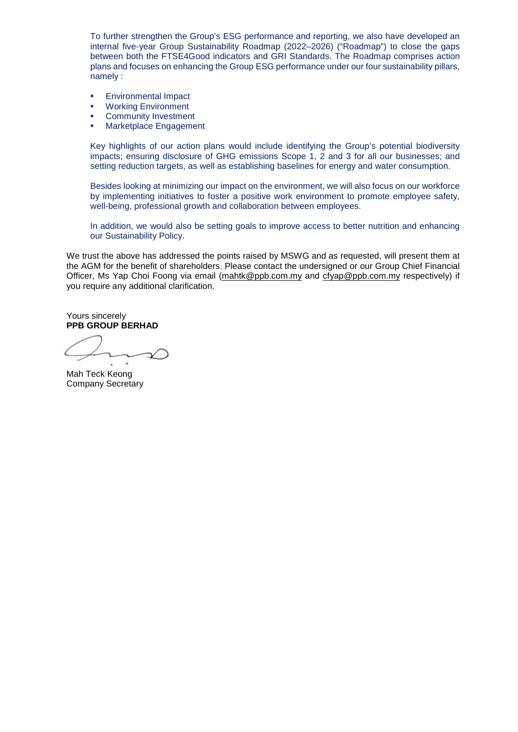To further strengthen the Group's ESG performance and reporting, we also have developed an internal five-year Group Sustainability Roadmap (2022–2026) ("Roadmap") to close the gaps between both the FTSE4Good indicators and GRI Standards. The Roadmap comprises action plans and focuses on enhancing the Group ESG performance under our four sustainability pillars, namely :

- **Environmental Impact**
- **Working Environment**
- **Community Investment**
- **Marketplace Engagement**

Key highlights of our action plans would include identifying the Group's potential biodiversity impacts; ensuring disclosure of GHG emissions Scope 1, 2 and 3 for all our businesses; and setting reduction targets, as well as establishing baselines for energy and water consumption.

Besides looking at minimizing our impact on the environment, we will also focus on our workforce by implementing initiatives to foster a positive work environment to promote employee safety, well-being, professional growth and collaboration between employees.

In addition, we would also be setting goals to improve access to better nutrition and enhancing our Sustainability Policy.

We trust the above has addressed the points raised by MSWG and as requested, will present them at the AGM for the benefit of shareholders. Please contact the undersigned or our Group Chief Financial Officer, Ms Yap Choi Foong via email (mahtk@ppb.com.my and cfyap@ppb.com.my respectively) if you require any additional clarification.

Yours sincerely **PPB GROUP BERHAD**

Mah Teck Keong Company Secretary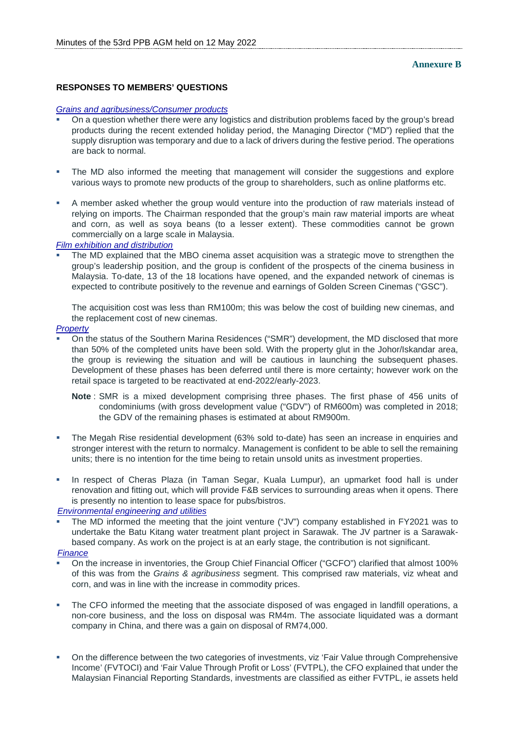## **RESPONSES TO MEMBERS' QUESTIONS**

#### *Grains and agribusiness/Consumer products*

- On a question whether there were any logistics and distribution problems faced by the group's bread products during the recent extended holiday period, the Managing Director ("MD") replied that the supply disruption was temporary and due to a lack of drivers during the festive period. The operations are back to normal.
- The MD also informed the meeting that management will consider the suggestions and explore various ways to promote new products of the group to shareholders, such as online platforms etc.
- A member asked whether the group would venture into the production of raw materials instead of relying on imports. The Chairman responded that the group's main raw material imports are wheat and corn, as well as soya beans (to a lesser extent). These commodities cannot be grown commercially on a large scale in Malaysia.

#### *Film exhibition and distribution*

 The MD explained that the MBO cinema asset acquisition was a strategic move to strengthen the group's leadership position, and the group is confident of the prospects of the cinema business in Malaysia. To-date, 13 of the 18 locations have opened, and the expanded network of cinemas is expected to contribute positively to the revenue and earnings of Golden Screen Cinemas ("GSC").

The acquisition cost was less than RM100m; this was below the cost of building new cinemas, and the replacement cost of new cinemas.

#### *Property*

- On the status of the Southern Marina Residences ("SMR") development, the MD disclosed that more than 50% of the completed units have been sold. With the property glut in the Johor/Iskandar area, the group is reviewing the situation and will be cautious in launching the subsequent phases. Development of these phases has been deferred until there is more certainty; however work on the retail space is targeted to be reactivated at end-2022/early-2023.
	- **Note** : SMR is a mixed development comprising three phases. The first phase of 456 units of condominiums (with gross development value ("GDV") of RM600m) was completed in 2018; the GDV of the remaining phases is estimated at about RM900m.
- The Megah Rise residential development (63% sold to-date) has seen an increase in enquiries and stronger interest with the return to normalcy. Management is confident to be able to sell the remaining units; there is no intention for the time being to retain unsold units as investment properties.
- In respect of Cheras Plaza (in Taman Segar, Kuala Lumpur), an upmarket food hall is under renovation and fitting out, which will provide F&B services to surrounding areas when it opens. There is presently no intention to lease space for pubs/bistros.

*Environmental engineering and utilities*

 The MD informed the meeting that the joint venture ("JV") company established in FY2021 was to undertake the Batu Kitang water treatment plant project in Sarawak. The JV partner is a Sarawakbased company. As work on the project is at an early stage, the contribution is not significant. *Finance*

- On the increase in inventories, the Group Chief Financial Officer ("GCFO") clarified that almost 100% of this was from the *Grains & agribusiness* segment. This comprised raw materials, viz wheat and corn, and was in line with the increase in commodity prices.
- The CFO informed the meeting that the associate disposed of was engaged in landfill operations, a non-core business, and the loss on disposal was RM4m. The associate liquidated was a dormant company in China, and there was a gain on disposal of RM74,000.
- On the difference between the two categories of investments, viz 'Fair Value through Comprehensive Income' (FVTOCI) and 'Fair Value Through Profit or Loss' (FVTPL), the CFO explained that under the Malaysian Financial Reporting Standards, investments are classified as either FVTPL, ie assets held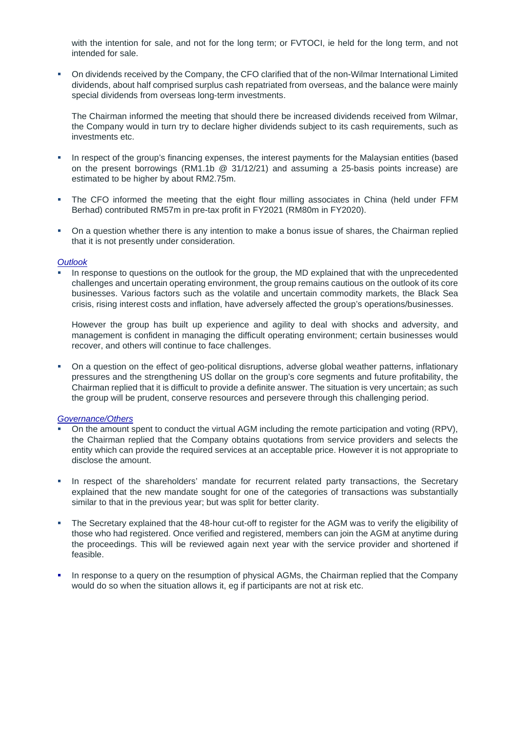with the intention for sale, and not for the long term; or FVTOCI, ie held for the long term, and not intended for sale.

 On dividends received by the Company, the CFO clarified that of the non-Wilmar International Limited dividends, about half comprised surplus cash repatriated from overseas, and the balance were mainly special dividends from overseas long-term investments.

The Chairman informed the meeting that should there be increased dividends received from Wilmar, the Company would in turn try to declare higher dividends subject to its cash requirements, such as investments etc.

- In respect of the group's financing expenses, the interest payments for the Malaysian entities (based on the present borrowings (RM1.1b  $@$  31/12/21) and assuming a 25-basis points increase) are estimated to be higher by about RM2.75m.
- The CFO informed the meeting that the eight flour milling associates in China (held under FFM Berhad) contributed RM57m in pre-tax profit in FY2021 (RM80m in FY2020).
- On a question whether there is any intention to make a bonus issue of shares, the Chairman replied that it is not presently under consideration.

## *Outlook*

 In response to questions on the outlook for the group, the MD explained that with the unprecedented challenges and uncertain operating environment, the group remains cautious on the outlook of its core businesses. Various factors such as the volatile and uncertain commodity markets, the Black Sea crisis, rising interest costs and inflation, have adversely affected the group's operations/businesses.

However the group has built up experience and agility to deal with shocks and adversity, and management is confident in managing the difficult operating environment; certain businesses would recover, and others will continue to face challenges.

 On a question on the effect of geo-political disruptions, adverse global weather patterns, inflationary pressures and the strengthening US dollar on the group's core segments and future profitability, the Chairman replied that it is difficult to provide a definite answer. The situation is very uncertain; as such the group will be prudent, conserve resources and persevere through this challenging period.

#### *Governance/Others*

- On the amount spent to conduct the virtual AGM including the remote participation and voting (RPV), the Chairman replied that the Company obtains quotations from service providers and selects the entity which can provide the required services at an acceptable price. However it is not appropriate to disclose the amount.
- In respect of the shareholders' mandate for recurrent related party transactions, the Secretary explained that the new mandate sought for one of the categories of transactions was substantially similar to that in the previous year; but was split for better clarity.
- The Secretary explained that the 48-hour cut-off to register for the AGM was to verify the eligibility of those who had registered. Once verified and registered, members can join the AGM at anytime during the proceedings. This will be reviewed again next year with the service provider and shortened if feasible.
- In response to a query on the resumption of physical AGMs, the Chairman replied that the Company would do so when the situation allows it, eg if participants are not at risk etc.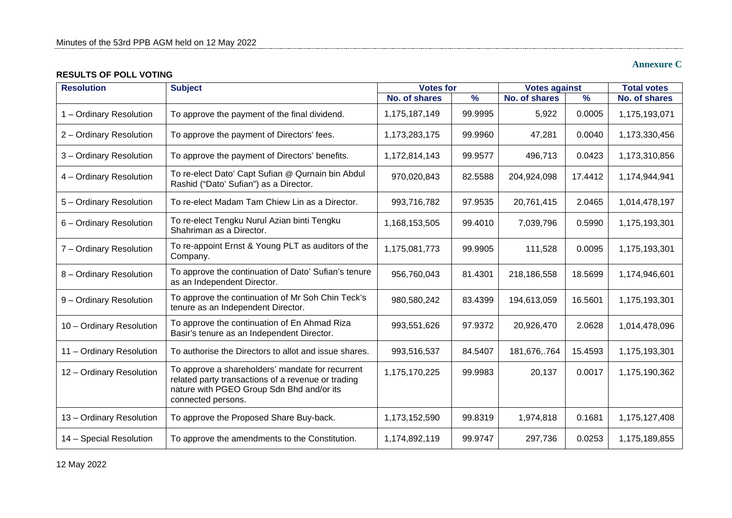# **RESULTS OF POLL VOTING**

# **Annexure C**

| <b>Resolution</b>        | <b>Subject</b>                                                                                                                                                            | <b>Votes for</b>     |               | <b>Votes against</b> |               | <b>Total votes</b> |
|--------------------------|---------------------------------------------------------------------------------------------------------------------------------------------------------------------------|----------------------|---------------|----------------------|---------------|--------------------|
|                          |                                                                                                                                                                           | <b>No. of shares</b> | $\frac{9}{6}$ | <b>No. of shares</b> | $\frac{9}{6}$ | No. of shares      |
| 1 - Ordinary Resolution  | To approve the payment of the final dividend.                                                                                                                             | 1,175,187,149        | 99.9995       | 5,922                | 0.0005        | 1,175,193,071      |
| 2 - Ordinary Resolution  | To approve the payment of Directors' fees.                                                                                                                                | 1,173,283,175        | 99.9960       | 47,281               | 0.0040        | 1,173,330,456      |
| 3 - Ordinary Resolution  | To approve the payment of Directors' benefits.                                                                                                                            | 1,172,814,143        | 99.9577       | 496,713              | 0.0423        | 1,173,310,856      |
| 4 - Ordinary Resolution  | To re-elect Dato' Capt Sufian @ Qurnain bin Abdul<br>Rashid ("Dato' Sufian") as a Director.                                                                               | 970,020,843          | 82.5588       | 204,924,098          | 17.4412       | 1,174,944,941      |
| 5 - Ordinary Resolution  | To re-elect Madam Tam Chiew Lin as a Director.                                                                                                                            | 993,716,782          | 97.9535       | 20,761,415           | 2.0465        | 1,014,478,197      |
| 6 - Ordinary Resolution  | To re-elect Tengku Nurul Azian binti Tengku<br>Shahriman as a Director.                                                                                                   | 1,168,153,505        | 99.4010       | 7,039,796            | 0.5990        | 1,175,193,301      |
| 7 - Ordinary Resolution  | To re-appoint Ernst & Young PLT as auditors of the<br>Company.                                                                                                            | 1,175,081,773        | 99.9905       | 111,528              | 0.0095        | 1,175,193,301      |
| 8 - Ordinary Resolution  | To approve the continuation of Dato' Sufian's tenure<br>as an Independent Director.                                                                                       | 956,760,043          | 81.4301       | 218,186,558          | 18.5699       | 1,174,946,601      |
| 9 - Ordinary Resolution  | To approve the continuation of Mr Soh Chin Teck's<br>tenure as an Independent Director.                                                                                   | 980,580,242          | 83.4399       | 194,613,059          | 16.5601       | 1,175,193,301      |
| 10 - Ordinary Resolution | To approve the continuation of En Ahmad Riza<br>Basir's tenure as an Independent Director.                                                                                | 993,551,626          | 97.9372       | 20,926,470           | 2.0628        | 1,014,478,096      |
| 11 - Ordinary Resolution | To authorise the Directors to allot and issue shares.                                                                                                                     | 993,516,537          | 84.5407       | 181,676,.764         | 15.4593       | 1,175,193,301      |
| 12 - Ordinary Resolution | To approve a shareholders' mandate for recurrent<br>related party transactions of a revenue or trading<br>nature with PGEO Group Sdn Bhd and/or its<br>connected persons. | 1,175,170,225        | 99.9983       | 20,137               | 0.0017        | 1,175,190,362      |
| 13 - Ordinary Resolution | To approve the Proposed Share Buy-back.                                                                                                                                   | 1,173,152,590        | 99.8319       | 1,974,818            | 0.1681        | 1,175,127,408      |
| 14 - Special Resolution  | To approve the amendments to the Constitution.                                                                                                                            | 1,174,892,119        | 99.9747       | 297,736              | 0.0253        | 1,175,189,855      |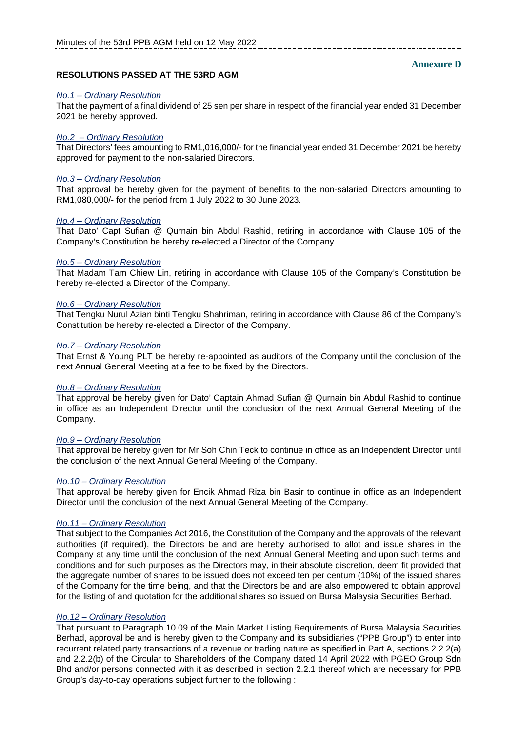## **Annexure D**

# **RESOLUTIONS PASSED AT THE 53RD AGM**

#### *No.1 – Ordinary Resolution*

That the payment of a final dividend of 25 sen per share in respect of the financial year ended 31 December 2021 be hereby approved.

## *No.2 – Ordinary Resolution*

That Directors' fees amounting to RM1,016,000/- for the financial year ended 31 December 2021 be hereby approved for payment to the non-salaried Directors.

## *No.3 – Ordinary Resolution*

That approval be hereby given for the payment of benefits to the non-salaried Directors amounting to RM1,080,000/- for the period from 1 July 2022 to 30 June 2023.

#### *No.4 – Ordinary Resolution*

That Dato' Capt Sufian @ Qurnain bin Abdul Rashid, retiring in accordance with Clause 105 of the Company's Constitution be hereby re-elected a Director of the Company.

#### *No.5 – Ordinary Resolution*

That Madam Tam Chiew Lin, retiring in accordance with Clause 105 of the Company's Constitution be hereby re-elected a Director of the Company.

#### *No.6 – Ordinary Resolution*

That Tengku Nurul Azian binti Tengku Shahriman, retiring in accordance with Clause 86 of the Company's Constitution be hereby re-elected a Director of the Company.

#### *No.7 – Ordinary Resolution*

That Ernst & Young PLT be hereby re-appointed as auditors of the Company until the conclusion of the next Annual General Meeting at a fee to be fixed by the Directors.

#### *No.8 – Ordinary Resolution*

That approval be hereby given for Dato' Captain Ahmad Sufian @ Qurnain bin Abdul Rashid to continue in office as an Independent Director until the conclusion of the next Annual General Meeting of the Company.

## *No.9 – Ordinary Resolution*

That approval be hereby given for Mr Soh Chin Teck to continue in office as an Independent Director until the conclusion of the next Annual General Meeting of the Company.

# *No.10 – Ordinary Resolution*

That approval be hereby given for Encik Ahmad Riza bin Basir to continue in office as an Independent Director until the conclusion of the next Annual General Meeting of the Company.

#### *No.11 – Ordinary Resolution*

That subject to the Companies Act 2016, the Constitution of the Company and the approvals of the relevant authorities (if required), the Directors be and are hereby authorised to allot and issue shares in the Company at any time until the conclusion of the next Annual General Meeting and upon such terms and conditions and for such purposes as the Directors may, in their absolute discretion, deem fit provided that the aggregate number of shares to be issued does not exceed ten per centum (10%) of the issued shares of the Company for the time being, and that the Directors be and are also empowered to obtain approval for the listing of and quotation for the additional shares so issued on Bursa Malaysia Securities Berhad.

#### *No.12 – Ordinary Resolution*

That pursuant to Paragraph 10.09 of the Main Market Listing Requirements of Bursa Malaysia Securities Berhad, approval be and is hereby given to the Company and its subsidiaries ("PPB Group") to enter into recurrent related party transactions of a revenue or trading nature as specified in Part A, sections 2.2.2(a) and 2.2.2(b) of the Circular to Shareholders of the Company dated 14 April 2022 with PGEO Group Sdn Bhd and/or persons connected with it as described in section 2.2.1 thereof which are necessary for PPB Group's day-to-day operations subject further to the following :